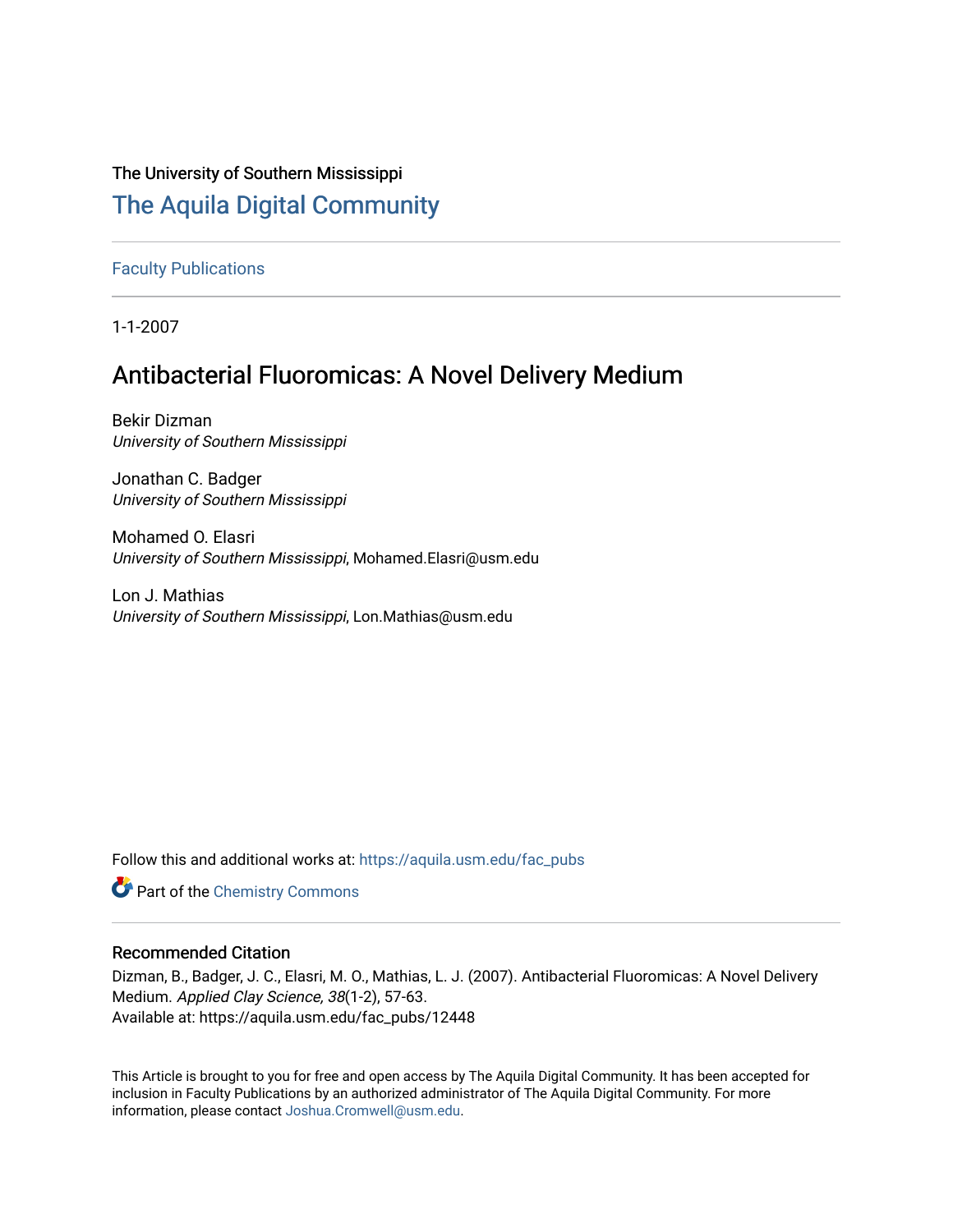# The University of Southern Mississippi

# [The Aquila Digital Community](https://aquila.usm.edu/)

[Faculty Publications](https://aquila.usm.edu/fac_pubs)

1-1-2007

# Antibacterial Fluoromicas: A Novel Delivery Medium

Bekir Dizman University of Southern Mississippi

Jonathan C. Badger University of Southern Mississippi

Mohamed O. Elasri University of Southern Mississippi, Mohamed.Elasri@usm.edu

Lon J. Mathias University of Southern Mississippi, Lon.Mathias@usm.edu

Follow this and additional works at: [https://aquila.usm.edu/fac\\_pubs](https://aquila.usm.edu/fac_pubs?utm_source=aquila.usm.edu%2Ffac_pubs%2F12448&utm_medium=PDF&utm_campaign=PDFCoverPages) 

**Part of the Chemistry Commons** 

# Recommended Citation

Dizman, B., Badger, J. C., Elasri, M. O., Mathias, L. J. (2007). Antibacterial Fluoromicas: A Novel Delivery Medium. Applied Clay Science, 38(1-2), 57-63. Available at: https://aquila.usm.edu/fac\_pubs/12448

This Article is brought to you for free and open access by The Aquila Digital Community. It has been accepted for inclusion in Faculty Publications by an authorized administrator of The Aquila Digital Community. For more information, please contact [Joshua.Cromwell@usm.edu.](mailto:Joshua.Cromwell@usm.edu)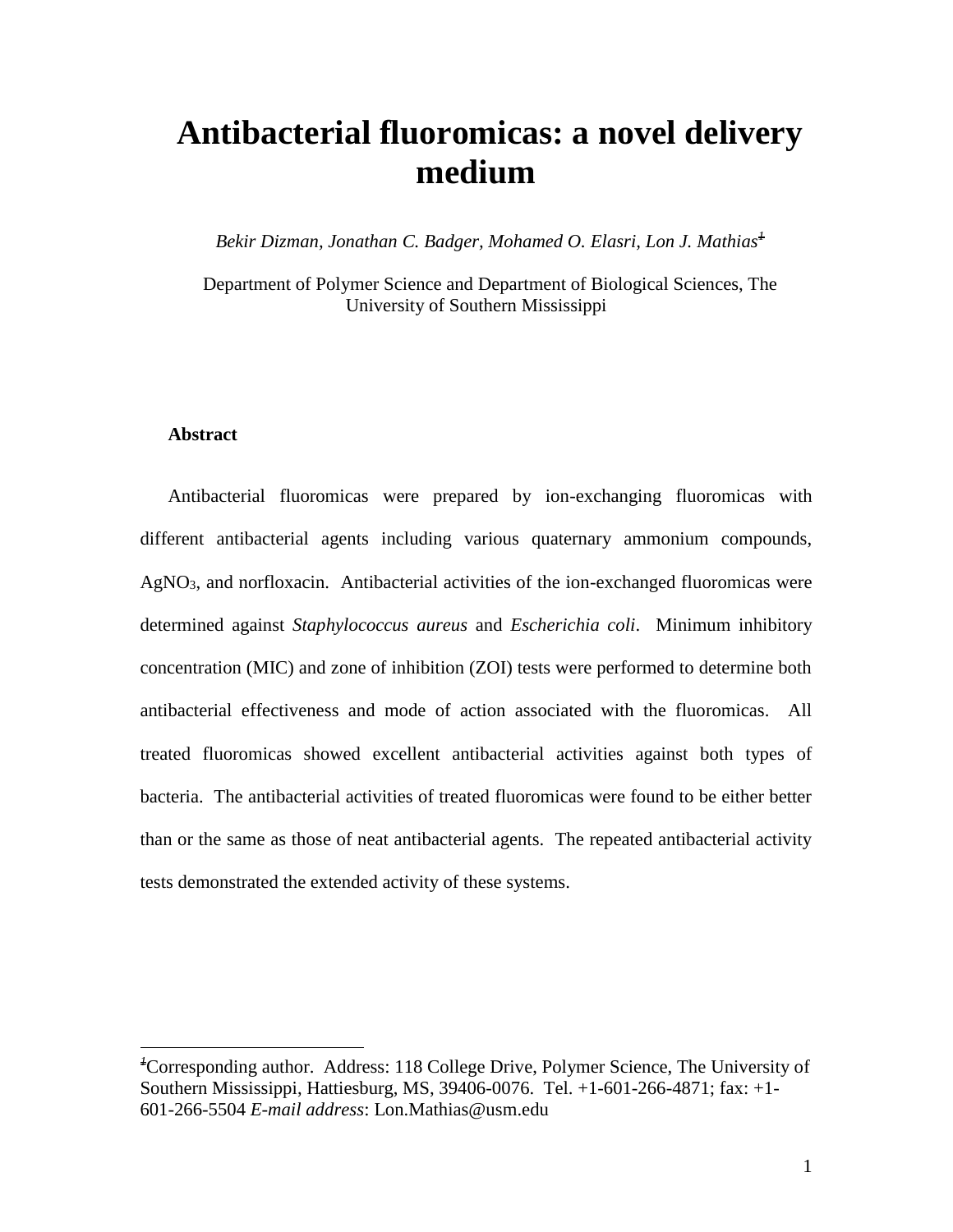# **Antibacterial fluoromicas: a novel delivery medium**

*Bekir Dizman, Jonathan C. Badger, Mohamed O. Elasri, Lon J. Mathias<sup>1</sup>*

Department of Polymer Science and Department of Biological Sciences, The University of Southern Mississippi

# **Abstract**

 $\overline{a}$ 

Antibacterial fluoromicas were prepared by ion-exchanging fluoromicas with different antibacterial agents including various quaternary ammonium compounds, AgNO<sub>3</sub>, and norfloxacin. Antibacterial activities of the ion-exchanged fluoromicas were determined against *Staphylococcus aureus* and *Escherichia coli*. Minimum inhibitory concentration (MIC) and zone of inhibition (ZOI) tests were performed to determine both antibacterial effectiveness and mode of action associated with the fluoromicas. All treated fluoromicas showed excellent antibacterial activities against both types of bacteria. The antibacterial activities of treated fluoromicas were found to be either better than or the same as those of neat antibacterial agents. The repeated antibacterial activity tests demonstrated the extended activity of these systems.

*<sup>1</sup>*Corresponding author. Address: 118 College Drive, Polymer Science, The University of Southern Mississippi, Hattiesburg, MS, 39406-0076. Tel. +1-601-266-4871; fax: +1- 601-266-5504 *E-mail address*: Lon.Mathias@usm.edu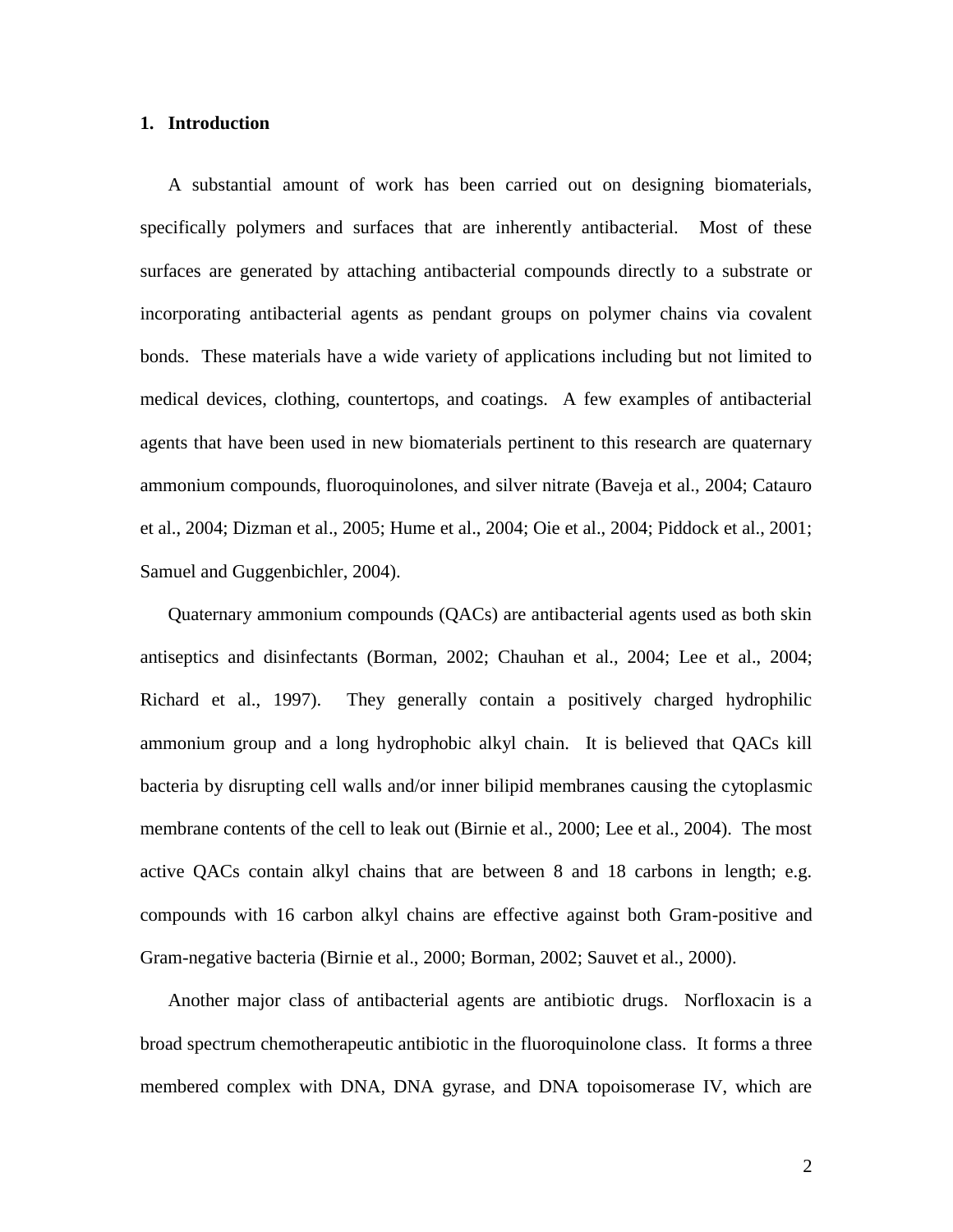# **1. Introduction**

A substantial amount of work has been carried out on designing biomaterials, specifically polymers and surfaces that are inherently antibacterial. Most of these surfaces are generated by attaching antibacterial compounds directly to a substrate or incorporating antibacterial agents as pendant groups on polymer chains via covalent bonds. These materials have a wide variety of applications including but not limited to medical devices, clothing, countertops, and coatings. A few examples of antibacterial agents that have been used in new biomaterials pertinent to this research are quaternary ammonium compounds, fluoroquinolones, and silver nitrate (Baveja et al., 2004; Catauro et al., 2004; Dizman et al., 2005; Hume et al., 2004; Oie et al., 2004; Piddock et al., 2001; Samuel and Guggenbichler, 2004).

Quaternary ammonium compounds (QACs) are antibacterial agents used as both skin antiseptics and disinfectants (Borman, 2002; Chauhan et al., 2004; Lee et al., 2004; Richard et al., 1997). They generally contain a positively charged hydrophilic ammonium group and a long hydrophobic alkyl chain. It is believed that QACs kill bacteria by disrupting cell walls and/or inner bilipid membranes causing the cytoplasmic membrane contents of the cell to leak out (Birnie et al., 2000; Lee et al., 2004). The most active QACs contain alkyl chains that are between 8 and 18 carbons in length; e.g. compounds with 16 carbon alkyl chains are effective against both Gram-positive and Gram-negative bacteria (Birnie et al., 2000; Borman, 2002; Sauvet et al., 2000).

Another major class of antibacterial agents are antibiotic drugs. Norfloxacin is a broad spectrum chemotherapeutic antibiotic in the fluoroquinolone class. It forms a three membered complex with DNA, DNA gyrase, and DNA topoisomerase IV, which are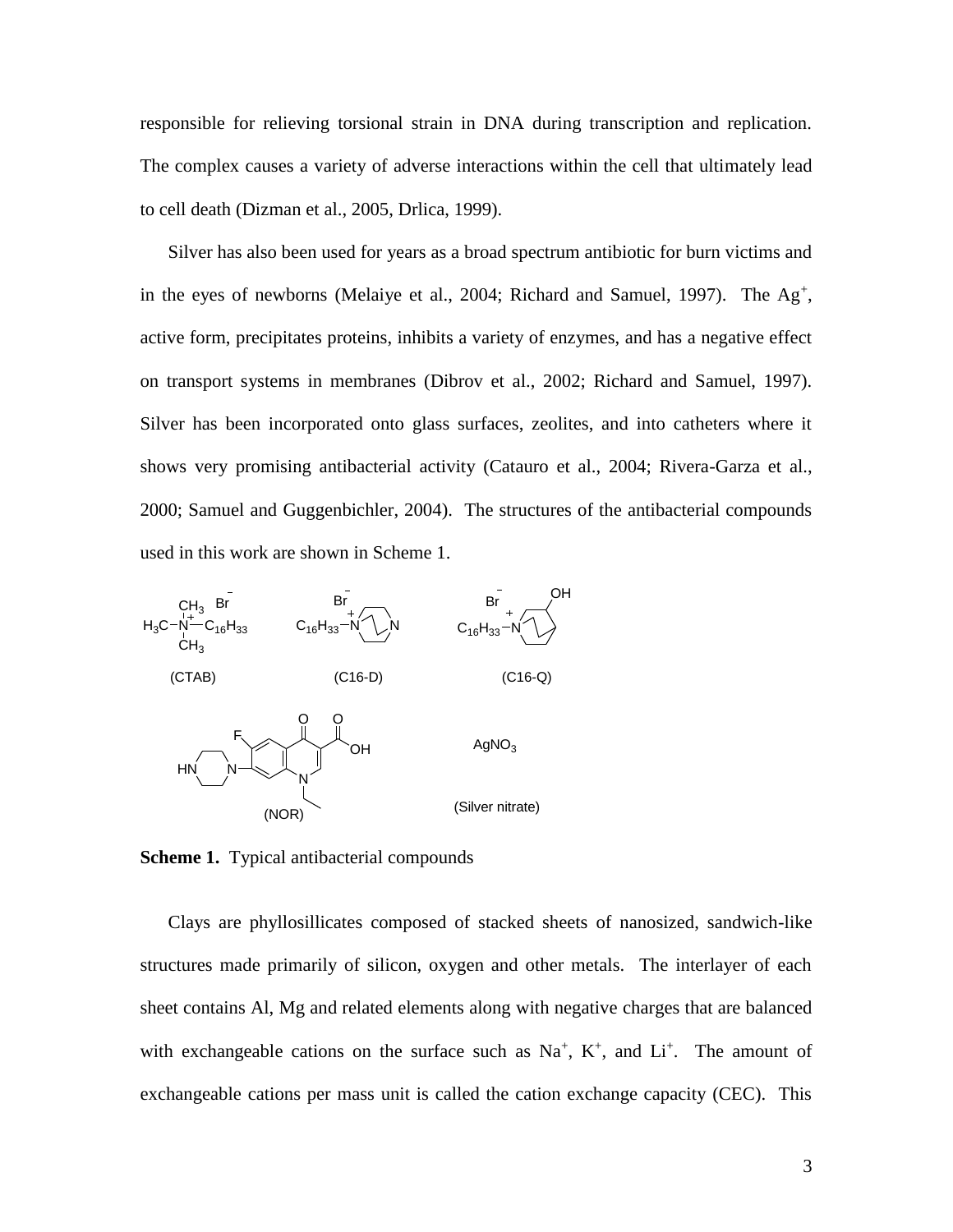responsible for relieving torsional strain in DNA during transcription and replication. The complex causes a variety of adverse interactions within the cell that ultimately lead to cell death (Dizman et al., 2005, Drlica, 1999).

Silver has also been used for years as a broad spectrum antibiotic for burn victims and in the eyes of newborns (Melaiye et al., 2004; Richard and Samuel, 1997). The  $Ag^+$ , active form, precipitates proteins, inhibits a variety of enzymes, and has a negative effect on transport systems in membranes (Dibrov et al., 2002; Richard and Samuel, 1997). Silver has been incorporated onto glass surfaces, zeolites, and into catheters where it shows very promising antibacterial activity (Catauro et al., 2004; Rivera-Garza et al., 2000; Samuel and Guggenbichler, 2004). The structures of the antibacterial compounds used in this work are shown in Scheme 1.



**Scheme 1.** Typical antibacterial compounds

Clays are phyllosillicates composed of stacked sheets of nanosized, sandwich-like structures made primarily of silicon, oxygen and other metals. The interlayer of each sheet contains Al, Mg and related elements along with negative charges that are balanced with exchangeable cations on the surface such as  $Na^+$ ,  $K^+$ , and  $Li^+$ . The amount of exchangeable cations per mass unit is called the cation exchange capacity (CEC). This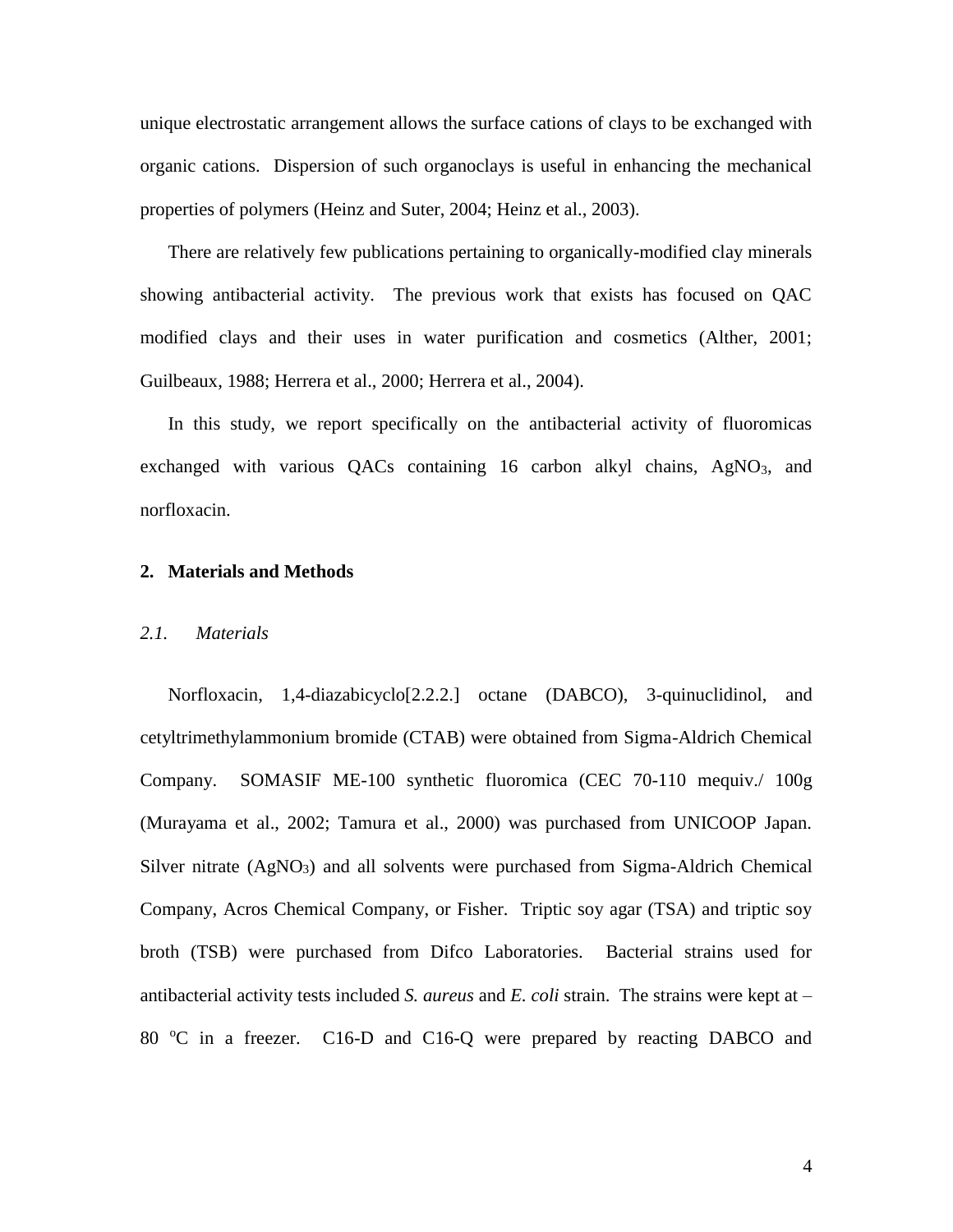unique electrostatic arrangement allows the surface cations of clays to be exchanged with organic cations. Dispersion of such organoclays is useful in enhancing the mechanical properties of polymers (Heinz and Suter, 2004; Heinz et al., 2003).

There are relatively few publications pertaining to organically-modified clay minerals showing antibacterial activity. The previous work that exists has focused on QAC modified clays and their uses in water purification and cosmetics (Alther, 2001; Guilbeaux, 1988; Herrera et al., 2000; Herrera et al., 2004).

In this study, we report specifically on the antibacterial activity of fluoromicas exchanged with various QACs containing 16 carbon alkyl chains, AgNO<sub>3</sub>, and norfloxacin.

## **2. Materials and Methods**

# *2.1. Materials*

Norfloxacin, 1,4-diazabicyclo[2.2.2.] octane (DABCO), 3-quinuclidinol, and cetyltrimethylammonium bromide (CTAB) were obtained from Sigma-Aldrich Chemical Company. SOMASIF ME-100 synthetic fluoromica (CEC 70-110 mequiv./ 100g (Murayama et al., 2002; Tamura et al., 2000) was purchased from UNICOOP Japan. Silver nitrate (AgNO3) and all solvents were purchased from Sigma-Aldrich Chemical Company, Acros Chemical Company, or Fisher. Triptic soy agar (TSA) and triptic soy broth (TSB) were purchased from Difco Laboratories. Bacterial strains used for antibacterial activity tests included *S. aureus* and *E. coli* strain. The strains were kept at – 80 °C in a freezer. C16-D and C16-Q were prepared by reacting DABCO and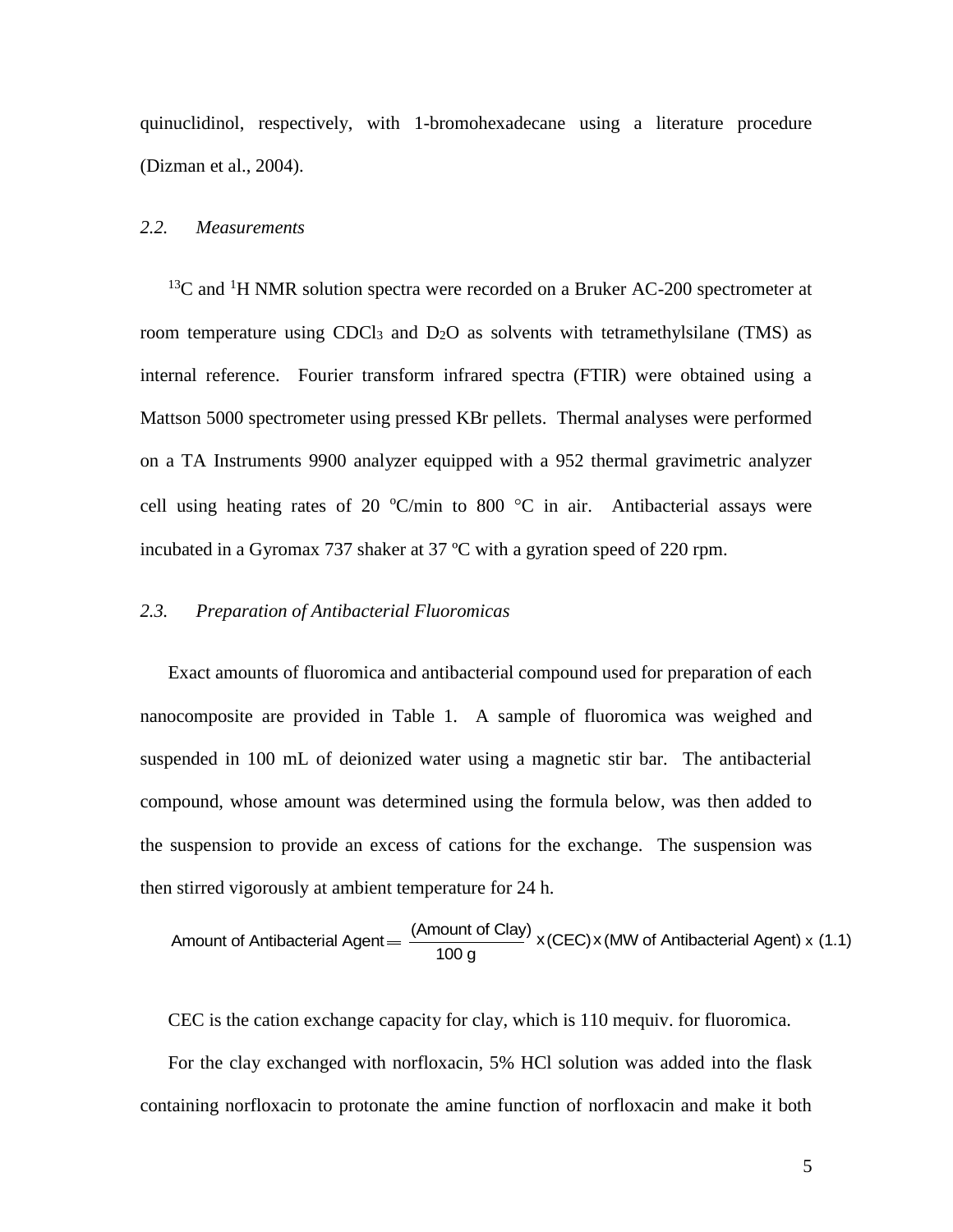quinuclidinol, respectively, with 1-bromohexadecane using a literature procedure (Dizman et al., 2004).

#### *2.2. Measurements*

 $13^{\circ}$ C and <sup>1</sup>H NMR solution spectra were recorded on a Bruker AC-200 spectrometer at room temperature using CDCl<sub>3</sub> and  $D_2O$  as solvents with tetramethylsilane (TMS) as internal reference. Fourier transform infrared spectra (FTIR) were obtained using a Mattson 5000 spectrometer using pressed KBr pellets. Thermal analyses were performed on a TA Instruments 9900 analyzer equipped with a 952 thermal gravimetric analyzer cell using heating rates of 20  $\degree$ C/min to 800  $\degree$ C in air. Antibacterial assays were incubated in a Gyromax 737 shaker at 37 ºC with a gyration speed of 220 rpm.

# *2.3. Preparation of Antibacterial Fluoromicas*

Exact amounts of fluoromica and antibacterial compound used for preparation of each nanocomposite are provided in Table 1. A sample of fluoromica was weighed and suspended in 100 mL of deionized water using a magnetic stir bar. The antibacterial compound, whose amount was determined using the formula below, was then added to the suspension to provide an excess of cations for the exchange. The suspension was then stirred vigorously at ambient temperature for 24 h.

Amount of Antibacterial Agent = 
$$
\frac{(Amount of Clay)}{100 g} \times (CEC) \times (MW of Antibacterial Agent) \times (1.1)
$$

CEC is the cation exchange capacity for clay, which is 110 mequiv. for fluoromica.

For the clay exchanged with norfloxacin, 5% HCl solution was added into the flask containing norfloxacin to protonate the amine function of norfloxacin and make it both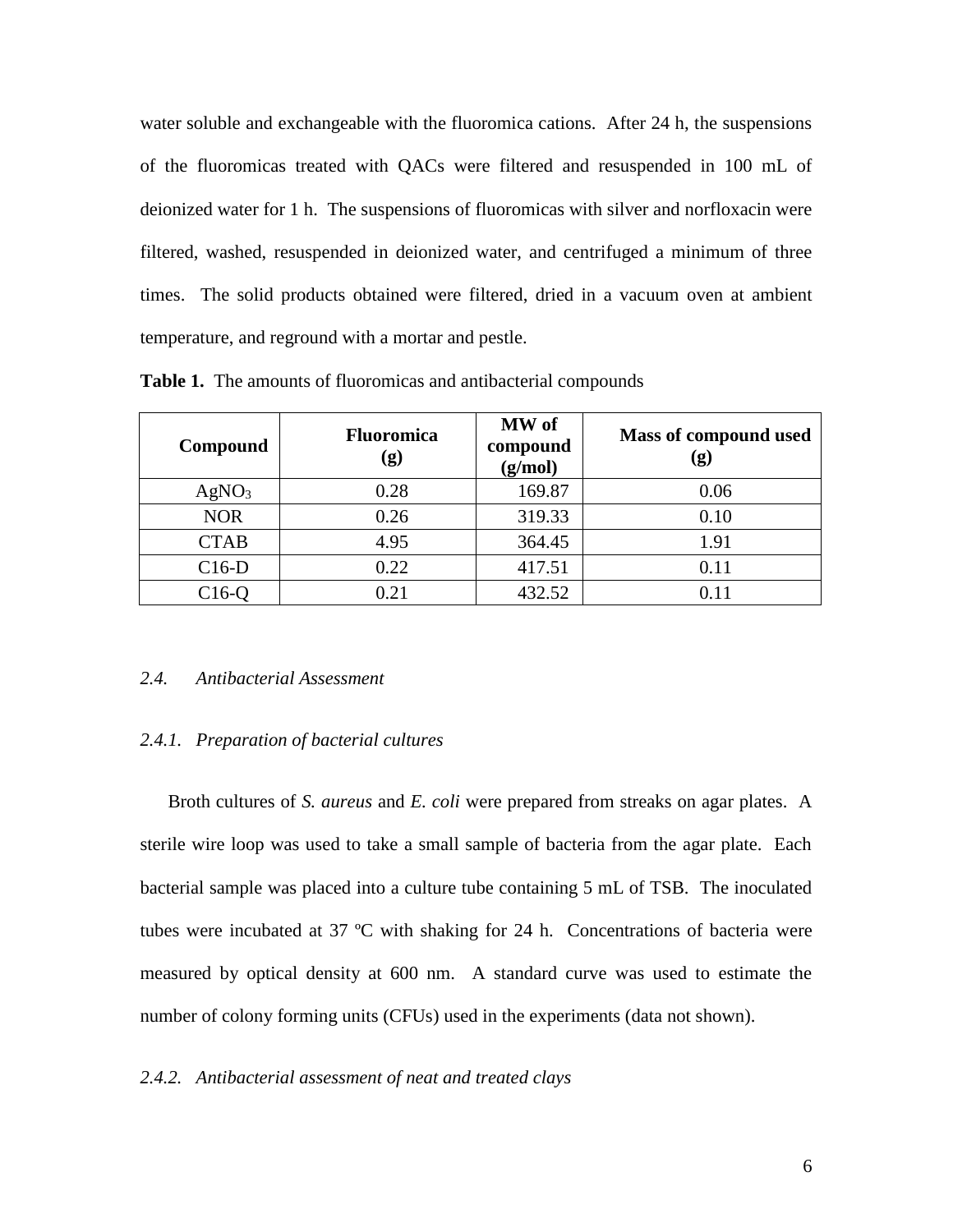water soluble and exchangeable with the fluoromica cations. After 24 h, the suspensions of the fluoromicas treated with QACs were filtered and resuspended in 100 mL of deionized water for 1 h. The suspensions of fluoromicas with silver and norfloxacin were filtered, washed, resuspended in deionized water, and centrifuged a minimum of three times. The solid products obtained were filtered, dried in a vacuum oven at ambient temperature, and reground with a mortar and pestle.

| Compound          | <b>Fluoromica</b><br>(g) | MW of<br>compound<br>(g/mol) | Mass of compound used<br>$\left( \mathbf{g} \right)$ |
|-------------------|--------------------------|------------------------------|------------------------------------------------------|
| AgNO <sub>3</sub> | 0.28                     | 169.87                       | 0.06                                                 |
| <b>NOR</b>        | 0.26                     | 319.33                       | 0.10                                                 |
| <b>CTAB</b>       | 4.95                     | 364.45                       | 1.91                                                 |
| $C16-D$           | 0.22                     | 417.51                       | 0.11                                                 |
| $C16-Q$           | 0.21                     | 432.52                       | 0.11                                                 |

**Table 1.** The amounts of fluoromicas and antibacterial compounds

# *2.4. Antibacterial Assessment*

## *2.4.1. Preparation of bacterial cultures*

Broth cultures of *S. aureus* and *E. coli* were prepared from streaks on agar plates. A sterile wire loop was used to take a small sample of bacteria from the agar plate. Each bacterial sample was placed into a culture tube containing 5 mL of TSB. The inoculated tubes were incubated at 37 ºC with shaking for 24 h. Concentrations of bacteria were measured by optical density at 600 nm. A standard curve was used to estimate the number of colony forming units (CFUs) used in the experiments (data not shown).

# *2.4.2. Antibacterial assessment of neat and treated clays*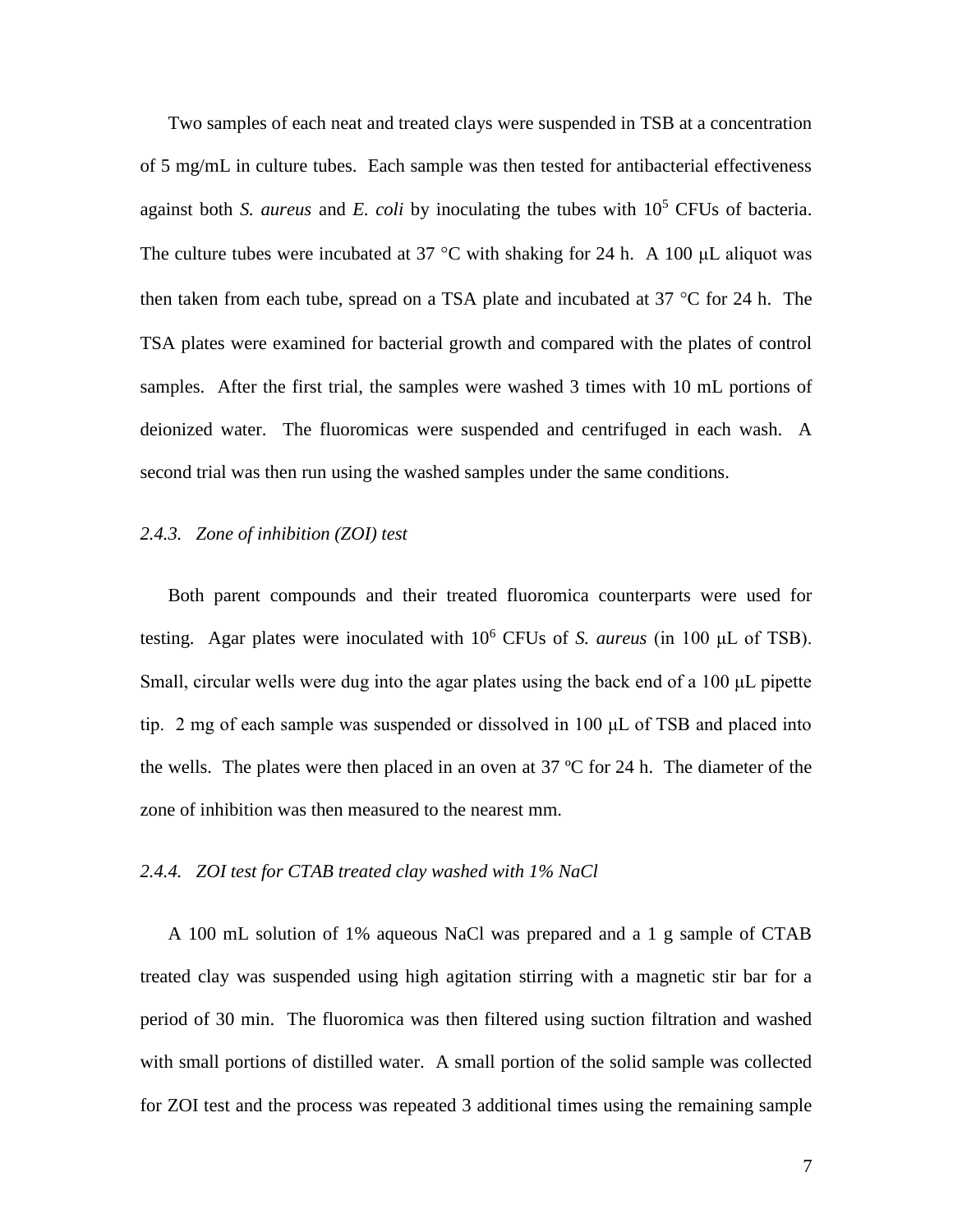Two samples of each neat and treated clays were suspended in TSB at a concentration of 5 mg/mL in culture tubes. Each sample was then tested for antibacterial effectiveness against both *S. aureus* and *E. coli* by inoculating the tubes with  $10<sup>5</sup>$  CFUs of bacteria. The culture tubes were incubated at 37 °C with shaking for 24 h. A 100  $\mu$ L aliquot was then taken from each tube, spread on a TSA plate and incubated at  $37 \degree C$  for  $24$  h. The TSA plates were examined for bacterial growth and compared with the plates of control samples. After the first trial, the samples were washed 3 times with 10 mL portions of deionized water. The fluoromicas were suspended and centrifuged in each wash. A second trial was then run using the washed samples under the same conditions.

# *2.4.3. Zone of inhibition (ZOI) test*

Both parent compounds and their treated fluoromica counterparts were used for testing. Agar plates were inoculated with 10<sup>6</sup> CFUs of *S. aureus* (in 100 μL of TSB). Small, circular wells were dug into the agar plates using the back end of a 100 μL pipette tip. 2 mg of each sample was suspended or dissolved in 100 μL of TSB and placed into the wells. The plates were then placed in an oven at 37 ºC for 24 h. The diameter of the zone of inhibition was then measured to the nearest mm.

# *2.4.4. ZOI test for CTAB treated clay washed with 1% NaCl*

A 100 mL solution of 1% aqueous NaCl was prepared and a 1 g sample of CTAB treated clay was suspended using high agitation stirring with a magnetic stir bar for a period of 30 min. The fluoromica was then filtered using suction filtration and washed with small portions of distilled water. A small portion of the solid sample was collected for ZOI test and the process was repeated 3 additional times using the remaining sample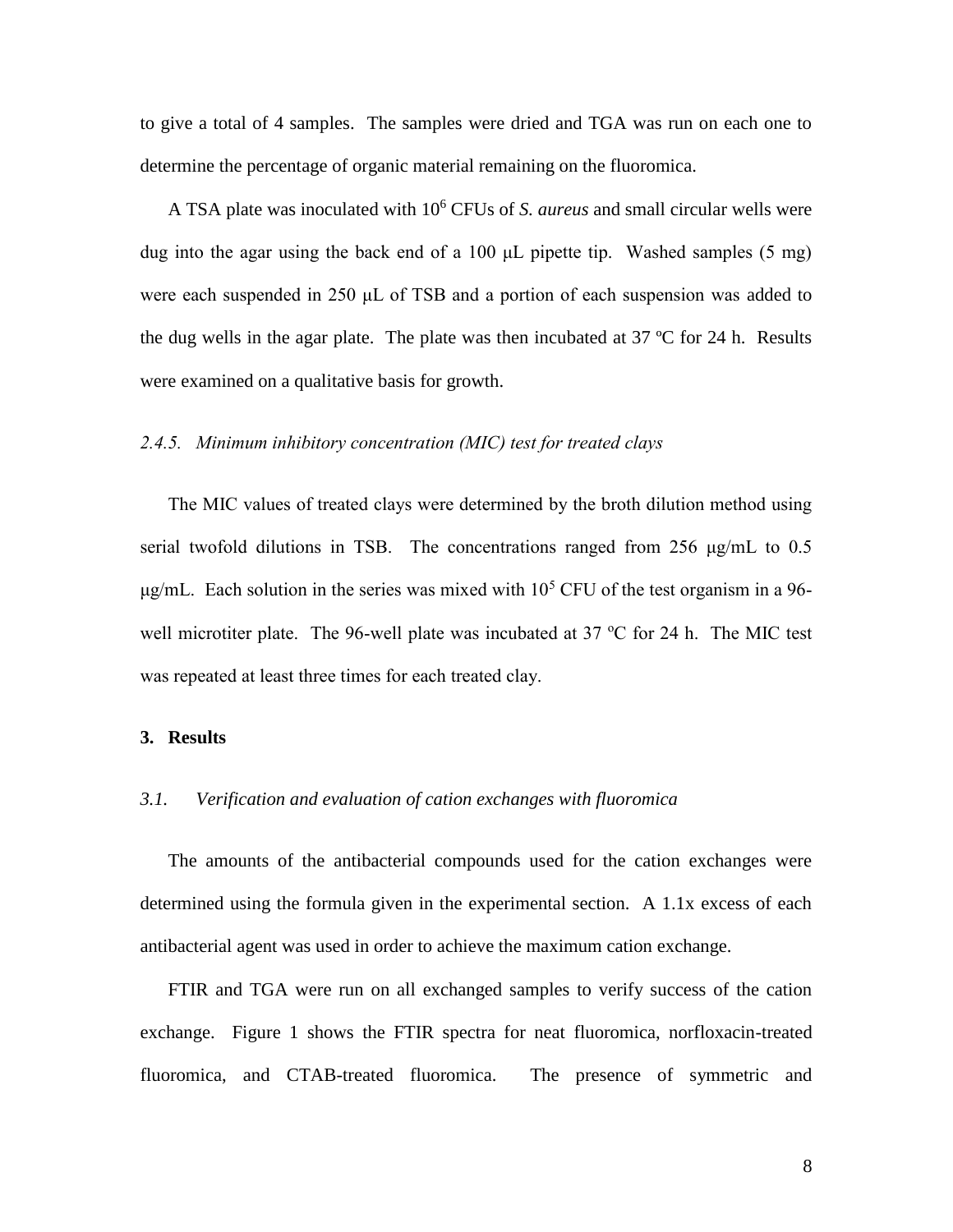to give a total of 4 samples. The samples were dried and TGA was run on each one to determine the percentage of organic material remaining on the fluoromica.

A TSA plate was inoculated with 10<sup>6</sup> CFUs of *S. aureus* and small circular wells were dug into the agar using the back end of a 100 μL pipette tip. Washed samples (5 mg) were each suspended in 250 μL of TSB and a portion of each suspension was added to the dug wells in the agar plate. The plate was then incubated at  $37 \text{ °C}$  for 24 h. Results were examined on a qualitative basis for growth.

#### *2.4.5. Minimum inhibitory concentration (MIC) test for treated clays*

The MIC values of treated clays were determined by the broth dilution method using serial twofold dilutions in TSB. The concentrations ranged from 256 μg/mL to 0.5 μg/mL. Each solution in the series was mixed with  $10<sup>5</sup>$  CFU of the test organism in a 96well microtiter plate. The 96-well plate was incubated at 37  $\degree$ C for 24 h. The MIC test was repeated at least three times for each treated clay.

### **3. Results**

# *3.1. Verification and evaluation of cation exchanges with fluoromica*

The amounts of the antibacterial compounds used for the cation exchanges were determined using the formula given in the experimental section. A 1.1x excess of each antibacterial agent was used in order to achieve the maximum cation exchange.

FTIR and TGA were run on all exchanged samples to verify success of the cation exchange. Figure 1 shows the FTIR spectra for neat fluoromica, norfloxacin-treated fluoromica, and CTAB-treated fluoromica. The presence of symmetric and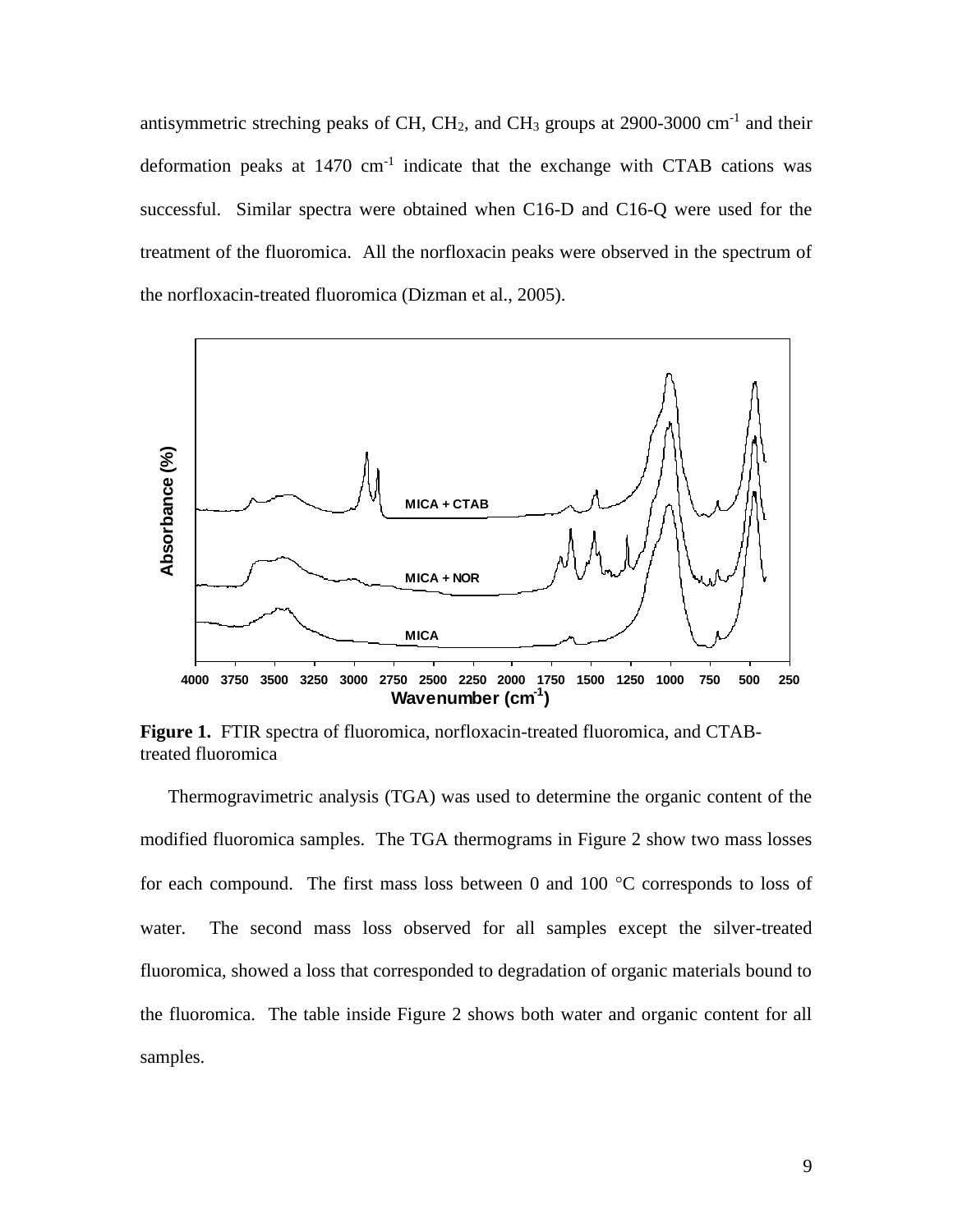antisymmetric streching peaks of CH, CH<sub>2</sub>, and CH<sub>3</sub> groups at  $2900-3000$  cm<sup>-1</sup> and their deformation peaks at  $1470 \text{ cm}^{-1}$  indicate that the exchange with CTAB cations was successful. Similar spectra were obtained when C16-D and C16-Q were used for the treatment of the fluoromica. All the norfloxacin peaks were observed in the spectrum of the norfloxacin-treated fluoromica (Dizman et al., 2005).



**Figure 1.** FTIR spectra of fluoromica, norfloxacin-treated fluoromica, and CTABtreated fluoromica

Thermogravimetric analysis (TGA) was used to determine the organic content of the modified fluoromica samples. The TGA thermograms in Figure 2 show two mass losses for each compound. The first mass loss between 0 and 100  $^{\circ}$ C corresponds to loss of water. The second mass loss observed for all samples except the silver-treated fluoromica, showed a loss that corresponded to degradation of organic materials bound to the fluoromica. The table inside Figure 2 shows both water and organic content for all samples.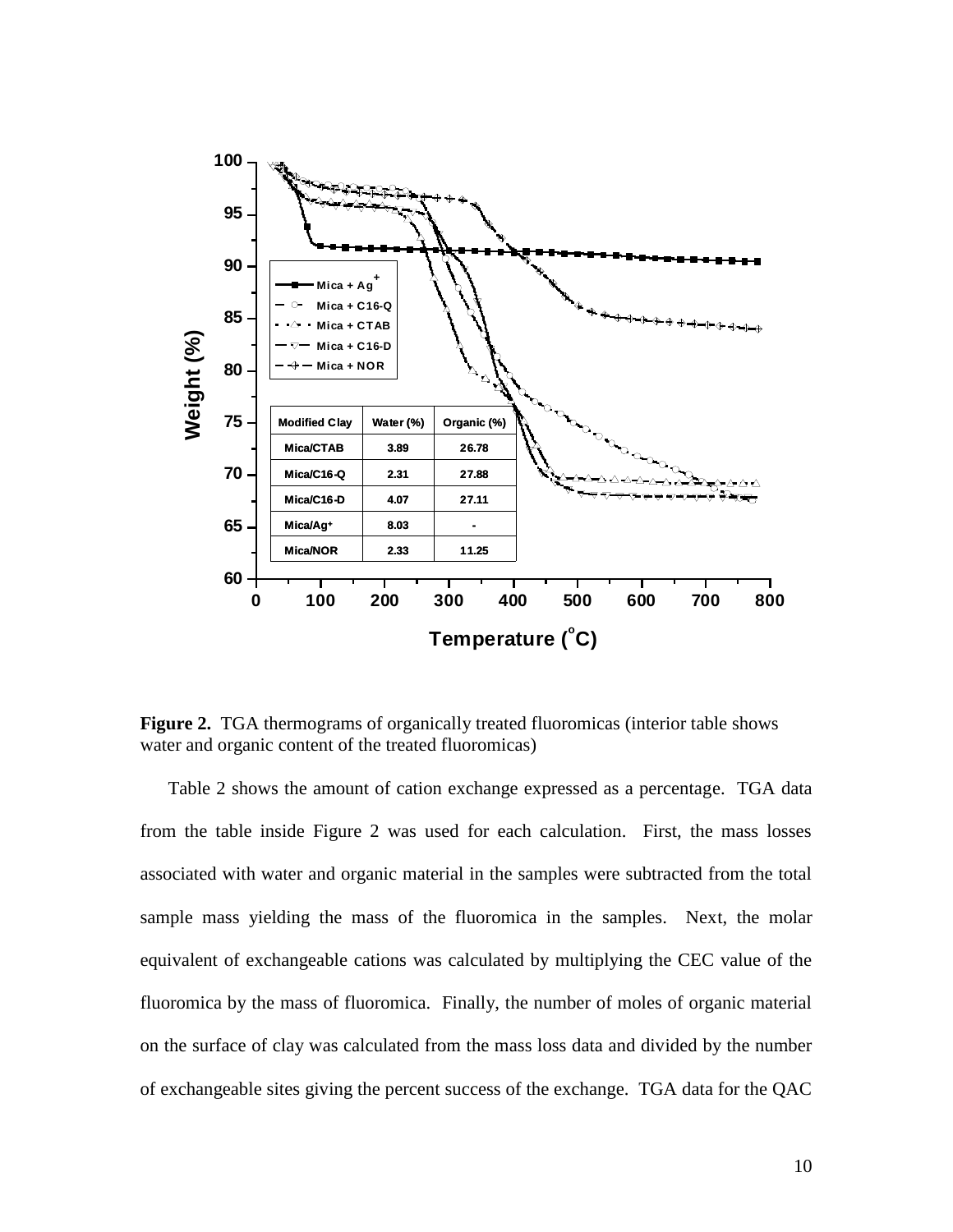

**Figure 2.** TGA thermograms of organically treated fluoromicas (interior table shows water and organic content of the treated fluoromicas)

Table 2 shows the amount of cation exchange expressed as a percentage. TGA data from the table inside Figure 2 was used for each calculation. First, the mass losses associated with water and organic material in the samples were subtracted from the total sample mass yielding the mass of the fluoromica in the samples. Next, the molar equivalent of exchangeable cations was calculated by multiplying the CEC value of the fluoromica by the mass of fluoromica. Finally, the number of moles of organic material on the surface of clay was calculated from the mass loss data and divided by the number of exchangeable sites giving the percent success of the exchange. TGA data for the QAC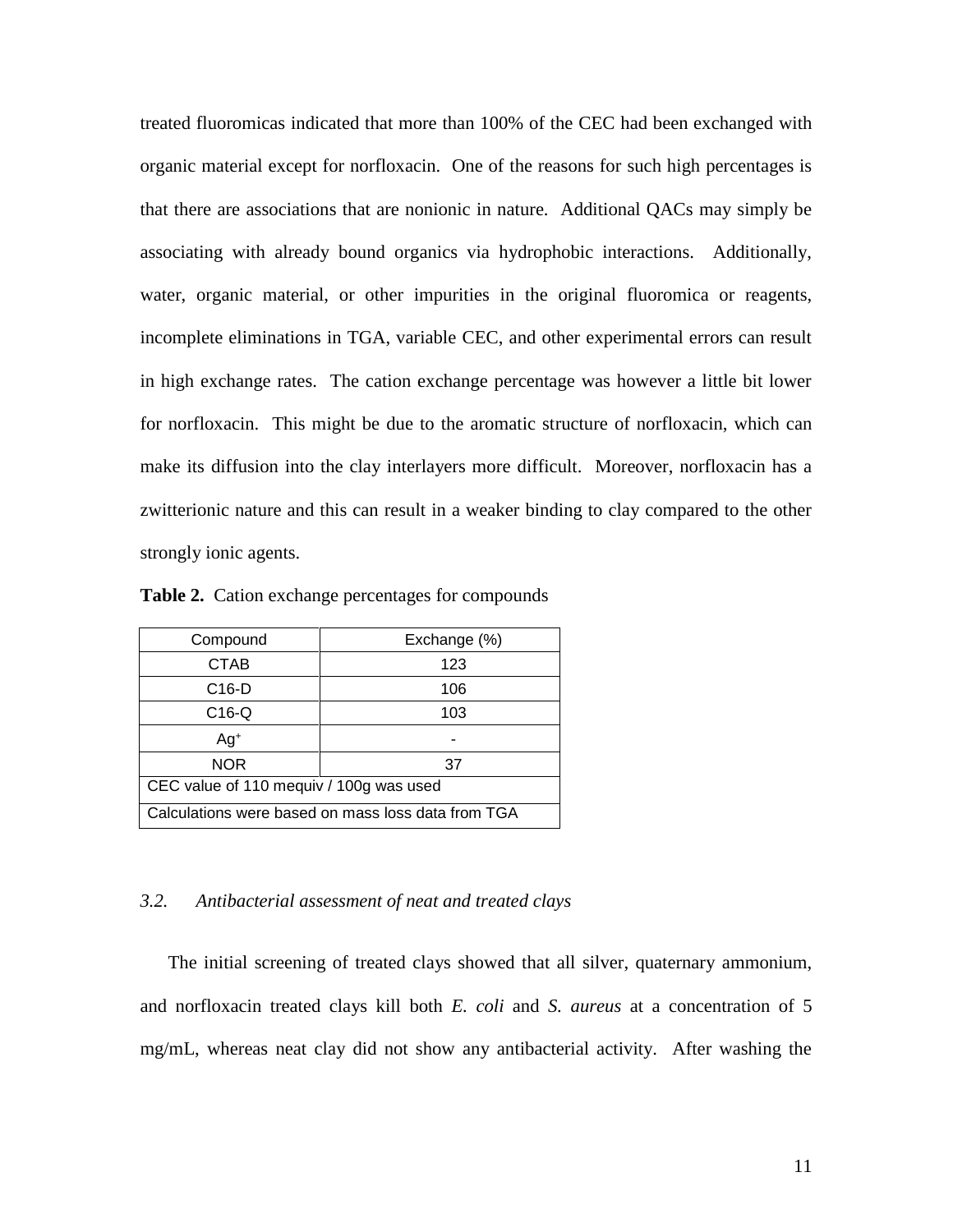treated fluoromicas indicated that more than 100% of the CEC had been exchanged with organic material except for norfloxacin. One of the reasons for such high percentages is that there are associations that are nonionic in nature. Additional QACs may simply be associating with already bound organics via hydrophobic interactions. Additionally, water, organic material, or other impurities in the original fluoromica or reagents, incomplete eliminations in TGA, variable CEC, and other experimental errors can result in high exchange rates. The cation exchange percentage was however a little bit lower for norfloxacin. This might be due to the aromatic structure of norfloxacin, which can make its diffusion into the clay interlayers more difficult. Moreover, norfloxacin has a zwitterionic nature and this can result in a weaker binding to clay compared to the other strongly ionic agents.

| Compound                                           | Exchange (%) |  |  |
|----------------------------------------------------|--------------|--|--|
| CTAB                                               | 123          |  |  |
| $C16-D$                                            | 106          |  |  |
| $C16-Q$                                            | 103          |  |  |
| Ag <sup>+</sup>                                    |              |  |  |
| <b>NOR</b><br>37                                   |              |  |  |
| CEC value of 110 mequiv / 100g was used            |              |  |  |
| Calculations were based on mass loss data from TGA |              |  |  |

**Table 2.** Cation exchange percentages for compounds

# *3.2. Antibacterial assessment of neat and treated clays*

The initial screening of treated clays showed that all silver, quaternary ammonium, and norfloxacin treated clays kill both *E. coli* and *S. aureus* at a concentration of 5 mg/mL, whereas neat clay did not show any antibacterial activity. After washing the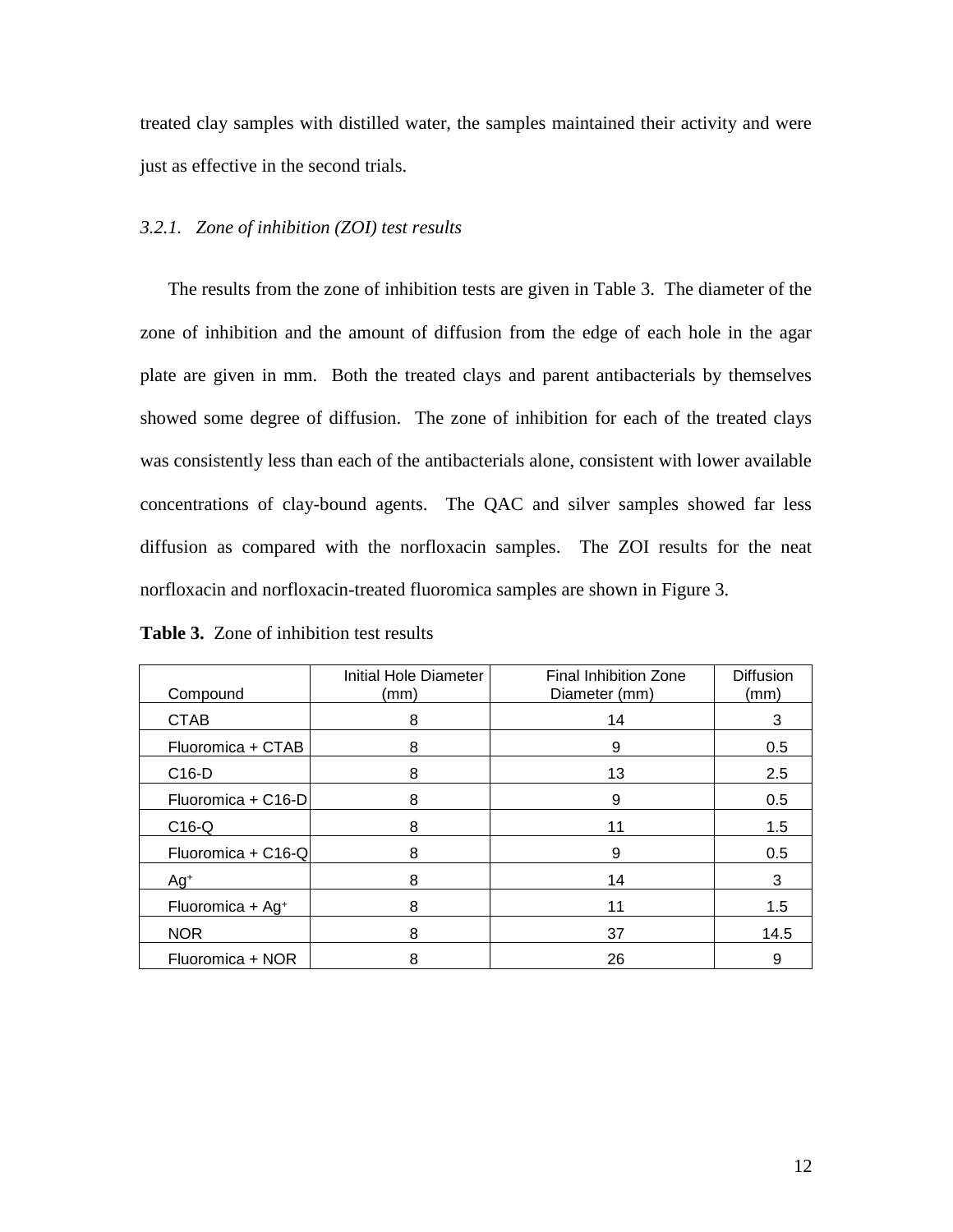treated clay samples with distilled water, the samples maintained their activity and were just as effective in the second trials.

#### *3.2.1. Zone of inhibition (ZOI) test results*

The results from the zone of inhibition tests are given in Table 3. The diameter of the zone of inhibition and the amount of diffusion from the edge of each hole in the agar plate are given in mm. Both the treated clays and parent antibacterials by themselves showed some degree of diffusion. The zone of inhibition for each of the treated clays was consistently less than each of the antibacterials alone, consistent with lower available concentrations of clay-bound agents. The QAC and silver samples showed far less diffusion as compared with the norfloxacin samples. The ZOI results for the neat norfloxacin and norfloxacin-treated fluoromica samples are shown in Figure 3.

**Table 3.** Zone of inhibition test results

| Compound                     | Initial Hole Diameter<br>(mm) | <b>Final Inhibition Zone</b><br>Diameter (mm) | <b>Diffusion</b><br>(mm) |
|------------------------------|-------------------------------|-----------------------------------------------|--------------------------|
| <b>CTAB</b>                  | 8                             | 14                                            | 3                        |
| Fluoromica + CTAB            | 8                             | 9                                             | 0.5                      |
| C <sub>16</sub> -D           | 8                             | 13                                            | 2.5                      |
| Fluoromica + C16-D           | 8                             | 9                                             | 0.5                      |
| $C16-Q$                      | 8                             | 11                                            | 1.5                      |
| Fluoromica + C16-Q           | 8                             | 9                                             | 0.5                      |
| Ag <sup>+</sup>              | 8                             | 14                                            | 3                        |
| Fluoromica + Ag <sup>+</sup> | 8                             | 11                                            | 1.5                      |
| <b>NOR</b>                   | 8                             | 37                                            | 14.5                     |
| Fluoromica + NOR             | 8                             | 26                                            | 9                        |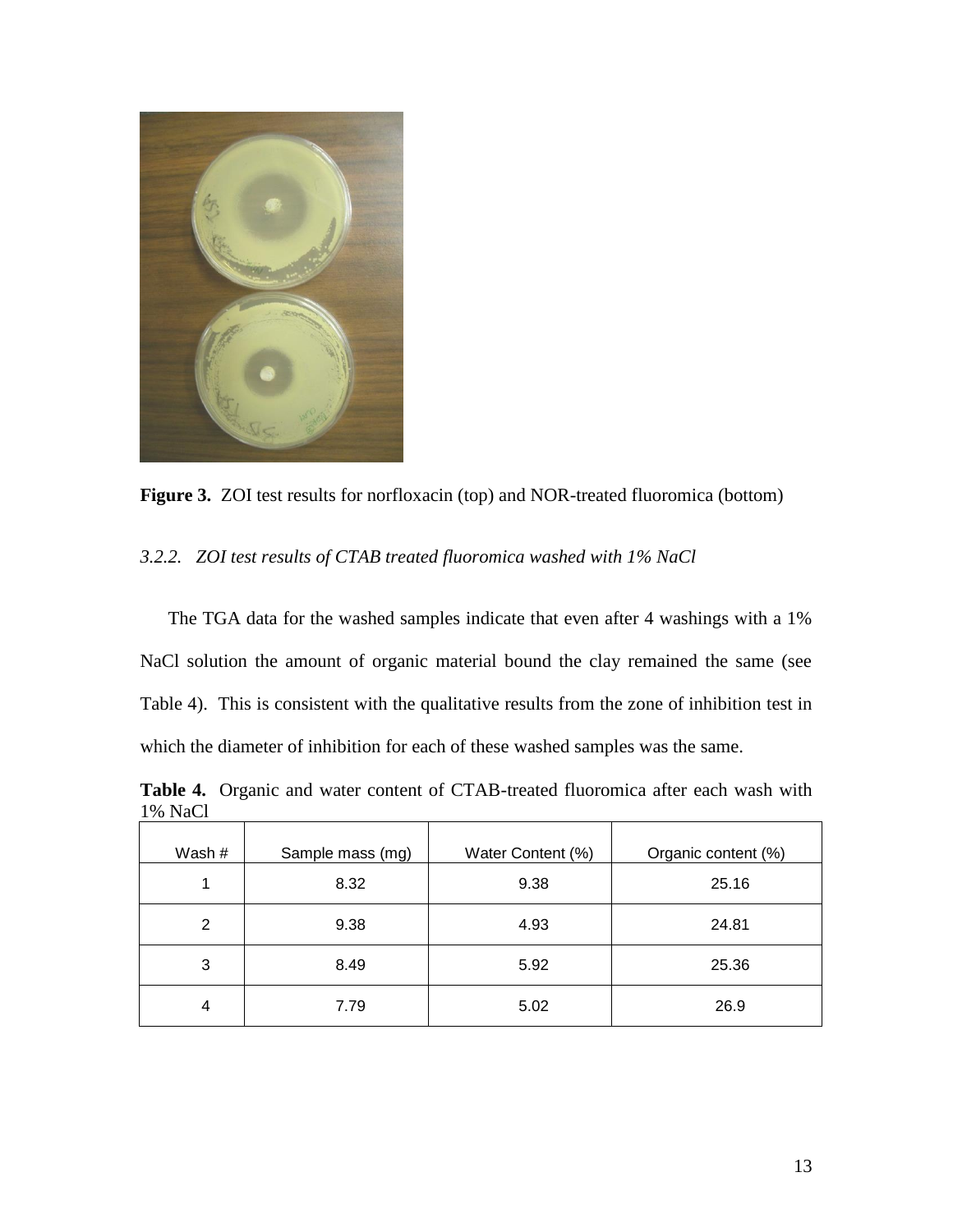

**Figure 3.** ZOI test results for norfloxacin (top) and NOR-treated fluoromica (bottom)

# *3.2.2. ZOI test results of CTAB treated fluoromica washed with 1% NaCl*

The TGA data for the washed samples indicate that even after 4 washings with a 1% NaCl solution the amount of organic material bound the clay remained the same (see Table 4). This is consistent with the qualitative results from the zone of inhibition test in which the diameter of inhibition for each of these washed samples was the same.

**Table 4.** Organic and water content of CTAB-treated fluoromica after each wash with 1% NaCl

| Wash # | Sample mass (mg) | Water Content (%) | Organic content (%) |
|--------|------------------|-------------------|---------------------|
| 1      | 8.32             | 9.38              | 25.16               |
| 2      | 9.38             | 4.93              | 24.81               |
| 3      | 8.49             | 5.92              | 25.36               |
| 4      | 7.79             | 5.02              | 26.9                |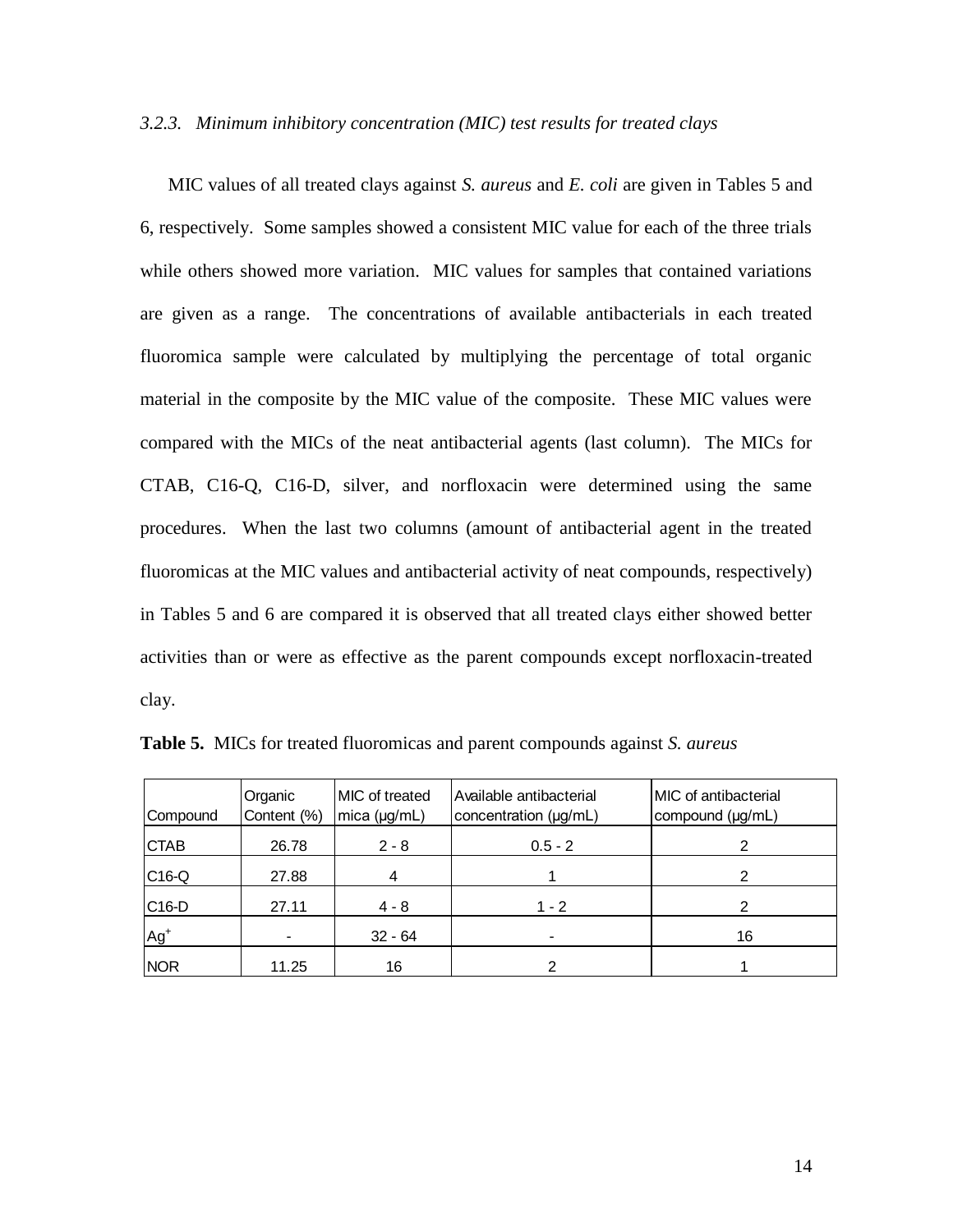# *3.2.3. Minimum inhibitory concentration (MIC) test results for treated clays*

MIC values of all treated clays against *S. aureus* and *E. coli* are given in Tables 5 and 6, respectively. Some samples showed a consistent MIC value for each of the three trials while others showed more variation. MIC values for samples that contained variations are given as a range. The concentrations of available antibacterials in each treated fluoromica sample were calculated by multiplying the percentage of total organic material in the composite by the MIC value of the composite. These MIC values were compared with the MICs of the neat antibacterial agents (last column). The MICs for CTAB, C16-Q, C16-D, silver, and norfloxacin were determined using the same procedures. When the last two columns (amount of antibacterial agent in the treated fluoromicas at the MIC values and antibacterial activity of neat compounds, respectively) in Tables 5 and 6 are compared it is observed that all treated clays either showed better activities than or were as effective as the parent compounds except norfloxacin-treated clay.

| Compound    | Organic<br>Content (%) | <b>IMIC</b> of treated<br>mica (µg/mL) | Available antibacterial<br>concentration (µg/mL) | <b>IMIC</b> of antibacterial<br>compound (µg/mL) |
|-------------|------------------------|----------------------------------------|--------------------------------------------------|--------------------------------------------------|
| <b>CTAB</b> | 26.78                  | $2 - 8$                                | $0.5 - 2$                                        | 2                                                |
| $C16-Q$     | 27.88                  |                                        |                                                  |                                                  |
| $ C16-D$    | 27.11                  | $4 - 8$                                | $1 - 2$                                          | 2                                                |
| $Ag+$       |                        | $32 - 64$                              |                                                  | 16                                               |
| <b>NOR</b>  | 11.25                  | 16                                     |                                                  |                                                  |

**Table 5.** MICs for treated fluoromicas and parent compounds against *S. aureus*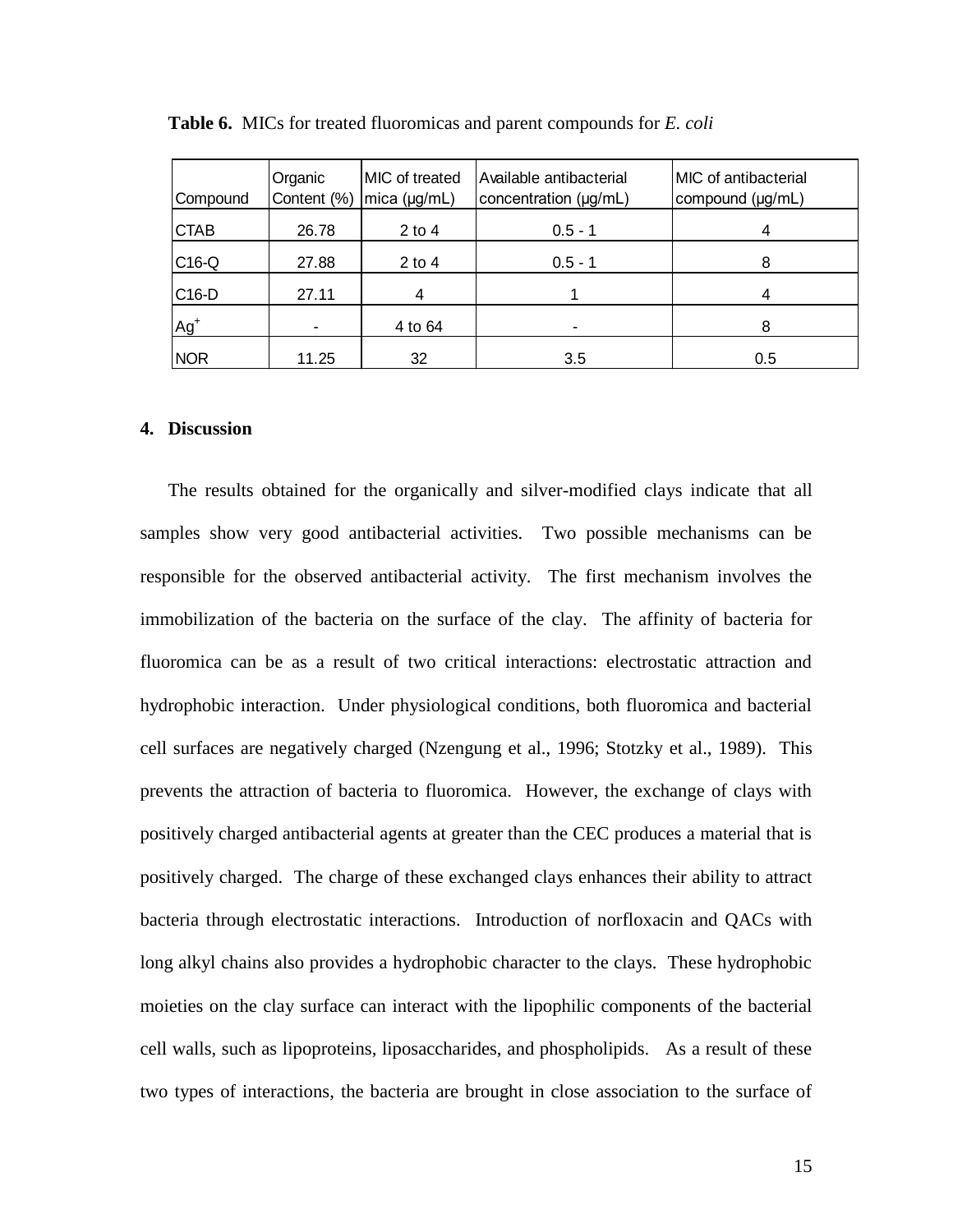| Compound    | Organic<br>Content (%) | MIC of treated<br>mica (µg/mL) | Available antibacterial<br>concentration (µg/mL) | MIC of antibacterial<br>compound (µg/mL) |
|-------------|------------------------|--------------------------------|--------------------------------------------------|------------------------------------------|
| <b>CTAB</b> | 26.78                  | $2$ to 4                       | $0.5 - 1$                                        | 4                                        |
| $C16-Q$     | 27.88                  | $2$ to 4                       | $0.5 - 1$                                        | 8                                        |
| C16-D       | 27.11                  |                                |                                                  | 4                                        |
| $Ag+$       |                        | 4 to 64                        |                                                  | 8                                        |
| <b>NOR</b>  | 11.25                  | 32                             | 3.5                                              | 0.5                                      |

**Table 6.** MICs for treated fluoromicas and parent compounds for *E. coli*

### **4. Discussion**

The results obtained for the organically and silver-modified clays indicate that all samples show very good antibacterial activities. Two possible mechanisms can be responsible for the observed antibacterial activity. The first mechanism involves the immobilization of the bacteria on the surface of the clay. The affinity of bacteria for fluoromica can be as a result of two critical interactions: electrostatic attraction and hydrophobic interaction. Under physiological conditions, both fluoromica and bacterial cell surfaces are negatively charged (Nzengung et al., 1996; Stotzky et al., 1989). This prevents the attraction of bacteria to fluoromica. However, the exchange of clays with positively charged antibacterial agents at greater than the CEC produces a material that is positively charged. The charge of these exchanged clays enhances their ability to attract bacteria through electrostatic interactions. Introduction of norfloxacin and QACs with long alkyl chains also provides a hydrophobic character to the clays. These hydrophobic moieties on the clay surface can interact with the lipophilic components of the bacterial cell walls, such as lipoproteins, liposaccharides, and phospholipids. As a result of these two types of interactions, the bacteria are brought in close association to the surface of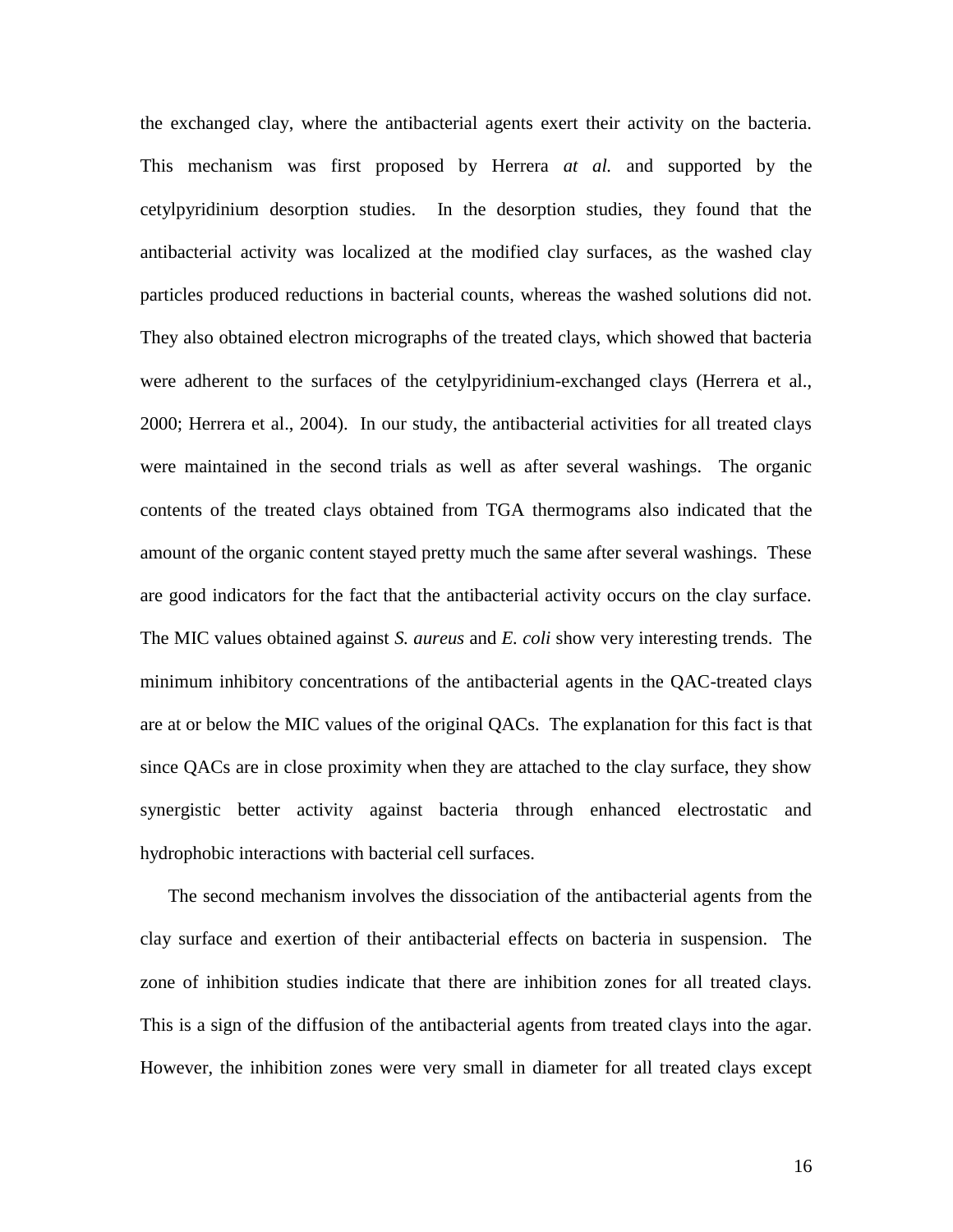the exchanged clay, where the antibacterial agents exert their activity on the bacteria. This mechanism was first proposed by Herrera *at al.* and supported by the cetylpyridinium desorption studies. In the desorption studies, they found that the antibacterial activity was localized at the modified clay surfaces, as the washed clay particles produced reductions in bacterial counts, whereas the washed solutions did not. They also obtained electron micrographs of the treated clays, which showed that bacteria were adherent to the surfaces of the cetylpyridinium-exchanged clays (Herrera et al., 2000; Herrera et al., 2004). In our study, the antibacterial activities for all treated clays were maintained in the second trials as well as after several washings. The organic contents of the treated clays obtained from TGA thermograms also indicated that the amount of the organic content stayed pretty much the same after several washings. These are good indicators for the fact that the antibacterial activity occurs on the clay surface. The MIC values obtained against *S. aureus* and *E. coli* show very interesting trends. The minimum inhibitory concentrations of the antibacterial agents in the QAC-treated clays are at or below the MIC values of the original QACs. The explanation for this fact is that since QACs are in close proximity when they are attached to the clay surface, they show synergistic better activity against bacteria through enhanced electrostatic and hydrophobic interactions with bacterial cell surfaces.

The second mechanism involves the dissociation of the antibacterial agents from the clay surface and exertion of their antibacterial effects on bacteria in suspension. The zone of inhibition studies indicate that there are inhibition zones for all treated clays. This is a sign of the diffusion of the antibacterial agents from treated clays into the agar. However, the inhibition zones were very small in diameter for all treated clays except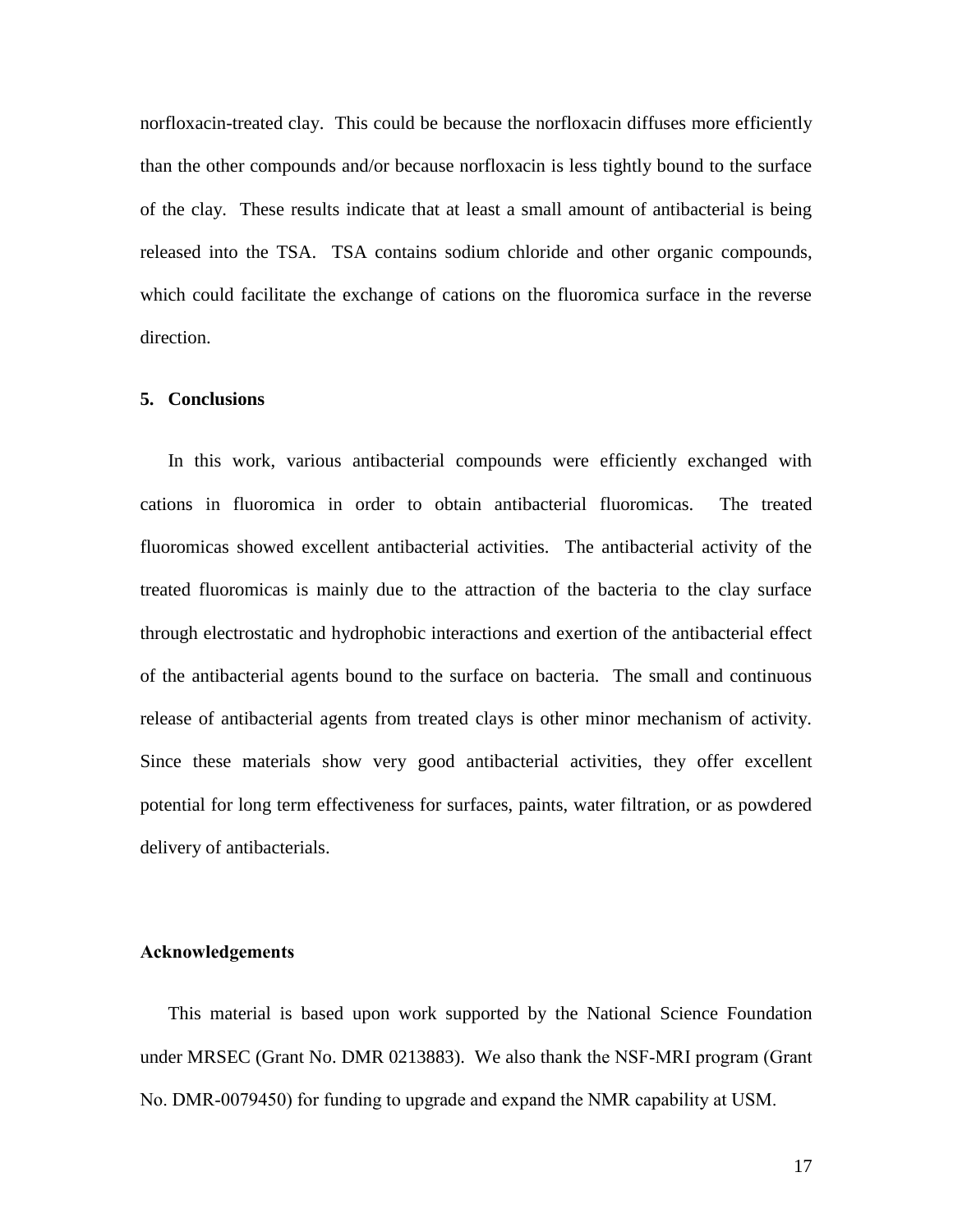norfloxacin-treated clay. This could be because the norfloxacin diffuses more efficiently than the other compounds and/or because norfloxacin is less tightly bound to the surface of the clay. These results indicate that at least a small amount of antibacterial is being released into the TSA. TSA contains sodium chloride and other organic compounds, which could facilitate the exchange of cations on the fluoromica surface in the reverse direction.

### **5. Conclusions**

In this work, various antibacterial compounds were efficiently exchanged with cations in fluoromica in order to obtain antibacterial fluoromicas. The treated fluoromicas showed excellent antibacterial activities. The antibacterial activity of the treated fluoromicas is mainly due to the attraction of the bacteria to the clay surface through electrostatic and hydrophobic interactions and exertion of the antibacterial effect of the antibacterial agents bound to the surface on bacteria. The small and continuous release of antibacterial agents from treated clays is other minor mechanism of activity. Since these materials show very good antibacterial activities, they offer excellent potential for long term effectiveness for surfaces, paints, water filtration, or as powdered delivery of antibacterials.

# **Acknowledgements**

This material is based upon work supported by the National Science Foundation under MRSEC (Grant No. DMR 0213883). We also thank the NSF-MRI program (Grant No. DMR-0079450) for funding to upgrade and expand the NMR capability at USM.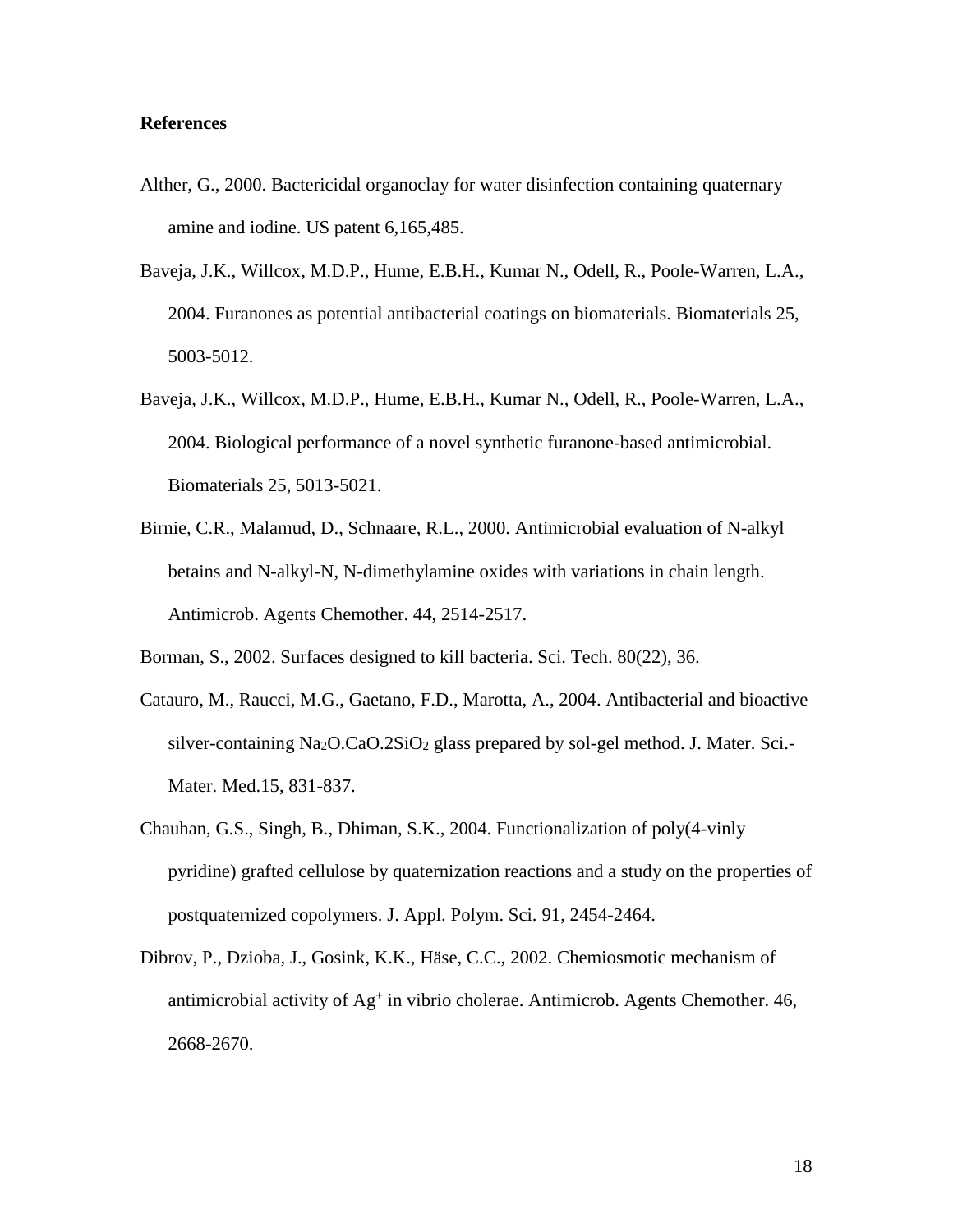# **References**

- Alther, G., 2000. Bactericidal organoclay for water disinfection containing quaternary amine and iodine. US patent 6,165,485.
- Baveja, J.K., Willcox, M.D.P., Hume, E.B.H., Kumar N., Odell, R., Poole-Warren, L.A., 2004. Furanones as potential antibacterial coatings on biomaterials. Biomaterials 25, 5003-5012.
- Baveja, J.K., Willcox, M.D.P., Hume, E.B.H., Kumar N., Odell, R., Poole-Warren, L.A., 2004. Biological performance of a novel synthetic furanone-based antimicrobial. Biomaterials 25, 5013-5021.
- Birnie, C.R., Malamud, D., Schnaare, R.L., 2000. Antimicrobial evaluation of N-alkyl betains and N-alkyl-N, N-dimethylamine oxides with variations in chain length. Antimicrob. Agents Chemother. 44, 2514-2517.
- Borman, S., 2002. Surfaces designed to kill bacteria. Sci. Tech. 80(22), 36.
- Catauro, M., Raucci, M.G., Gaetano, F.D., Marotta, A., 2004. Antibacterial and bioactive silver-containing  $Na<sub>2</sub>O.CaO.2SiO<sub>2</sub> glass prepared by sol-gel method. J. Mater. Sci.$ Mater. Med.15, 831-837.
- Chauhan, G.S., Singh, B., Dhiman, S.K., 2004. Functionalization of poly(4-vinly pyridine) grafted cellulose by quaternization reactions and a study on the properties of postquaternized copolymers. J. Appl. Polym. Sci. 91, 2454-2464.
- Dibrov, P., Dzioba, J., Gosink, K.K., Häse, C.C., 2002. Chemiosmotic mechanism of antimicrobial activity of Ag<sup>+</sup> in vibrio cholerae. Antimicrob. Agents Chemother. 46, 2668-2670.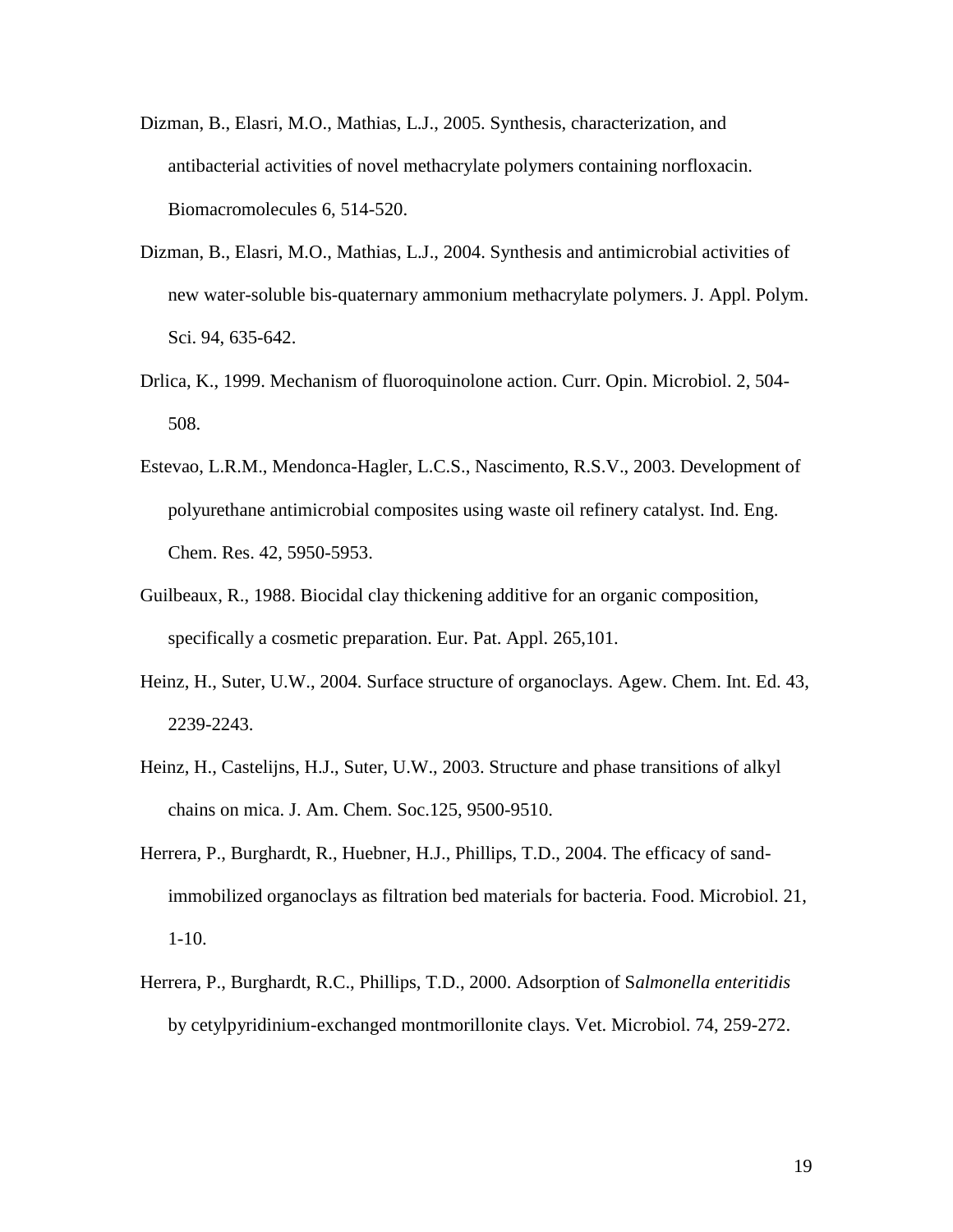- Dizman, B., Elasri, M.O., Mathias, L.J., 2005. Synthesis, characterization, and antibacterial activities of novel methacrylate polymers containing norfloxacin. Biomacromolecules 6, 514-520.
- Dizman, B., Elasri, M.O., Mathias, L.J., 2004. Synthesis and antimicrobial activities of new water-soluble bis-quaternary ammonium methacrylate polymers. J. Appl. Polym. Sci. 94, 635-642.
- Drlica, K., 1999. Mechanism of fluoroquinolone action. Curr. Opin. Microbiol. 2, 504- 508.
- Estevao, L.R.M., Mendonca-Hagler, L.C.S., Nascimento, R.S.V., 2003. Development of polyurethane antimicrobial composites using waste oil refinery catalyst. Ind. Eng. Chem. Res. 42, 5950-5953.
- Guilbeaux, R., 1988. Biocidal clay thickening additive for an organic composition, specifically a cosmetic preparation. Eur. Pat. Appl. 265,101.
- Heinz, H., Suter, U.W., 2004. Surface structure of organoclays. Agew. Chem. Int. Ed. 43, 2239-2243.
- Heinz, H., Castelijns, H.J., Suter, U.W., 2003. Structure and phase transitions of alkyl chains on mica. J. Am. Chem. Soc.125, 9500-9510.
- Herrera, P., Burghardt, R., Huebner, H.J., Phillips, T.D., 2004. The efficacy of sandimmobilized organoclays as filtration bed materials for bacteria. Food. Microbiol. 21, 1-10.
- Herrera, P., Burghardt, R.C., Phillips, T.D., 2000. Adsorption of S*almonella enteritidis* by cetylpyridinium-exchanged montmorillonite clays. Vet. Microbiol. 74, 259-272.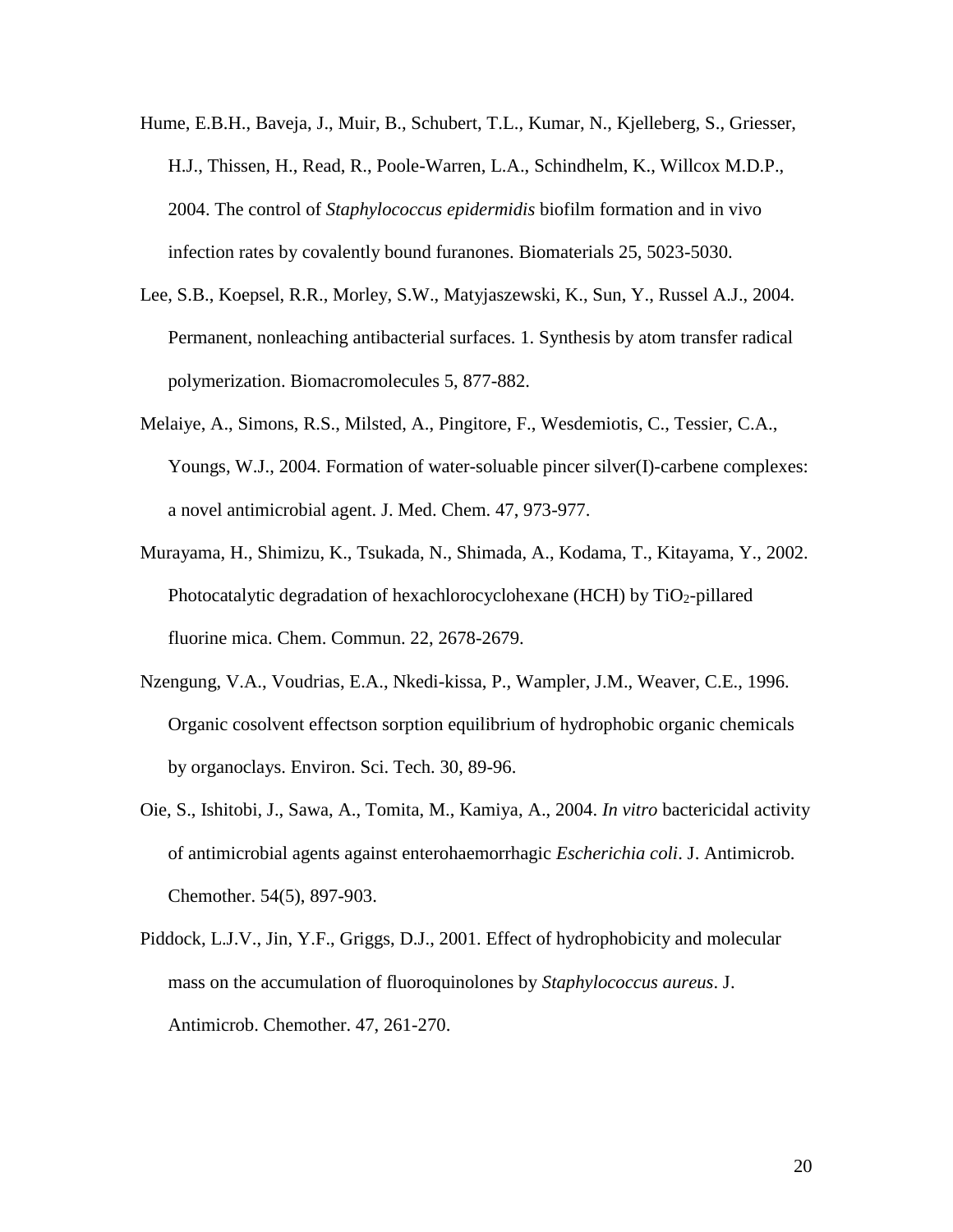- Hume, E.B.H., Baveja, J., Muir, B., Schubert, T.L., Kumar, N., Kjelleberg, S., Griesser, H.J., Thissen, H., Read, R., Poole-Warren, L.A., Schindhelm, K., Willcox M.D.P., 2004. The control of *Staphylococcus epidermidis* biofilm formation and in vivo infection rates by covalently bound furanones. Biomaterials 25, 5023-5030.
- Lee, S.B., Koepsel, R.R., Morley, S.W., Matyjaszewski, K., Sun, Y., Russel A.J., 2004. Permanent, nonleaching antibacterial surfaces. 1. Synthesis by atom transfer radical polymerization. Biomacromolecules 5, 877-882.
- Melaiye, A., Simons, R.S., Milsted, A., Pingitore, F., Wesdemiotis, C., Tessier, C.A., Youngs, W.J., 2004. Formation of water-soluable pincer silver(I)-carbene complexes: a novel antimicrobial agent. J. Med. Chem. 47, 973-977.
- Murayama, H., Shimizu, K., Tsukada, N., Shimada, A., Kodama, T., Kitayama, Y., 2002. Photocatalytic degradation of hexachlorocyclohexane (HCH) by  $TiO<sub>2</sub>$ -pillared fluorine mica. Chem. Commun. 22, 2678-2679.
- Nzengung, V.A., Voudrias, E.A., Nkedi-kissa, P., Wampler, J.M., Weaver, C.E., 1996. Organic cosolvent effectson sorption equilibrium of hydrophobic organic chemicals by organoclays. Environ. Sci. Tech. 30, 89-96.
- Oie, S., Ishitobi, J., Sawa, A., Tomita, M., Kamiya, A., 2004. *In vitro* bactericidal activity of antimicrobial agents against enterohaemorrhagic *Escherichia coli*. J. Antimicrob. Chemother. 54(5), 897-903.
- Piddock, L.J.V., Jin, Y.F., Griggs, D.J., 2001. Effect of hydrophobicity and molecular mass on the accumulation of fluoroquinolones by *Staphylococcus aureus*. J. Antimicrob. Chemother. 47, 261-270.